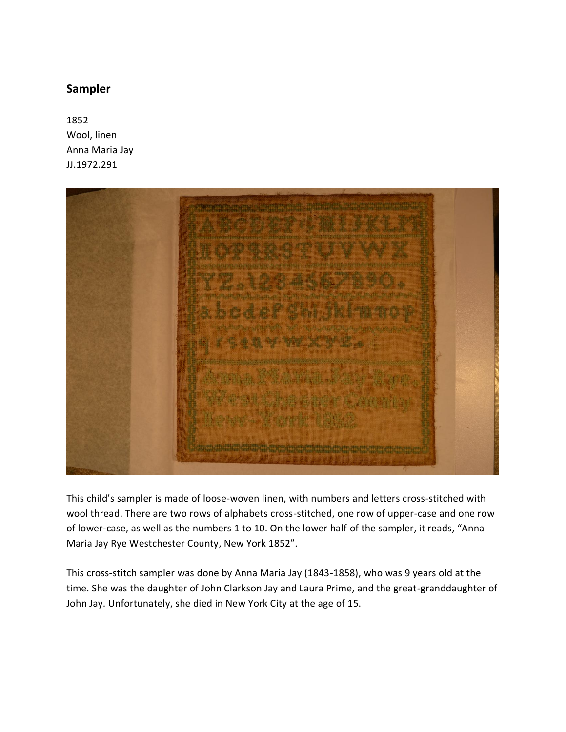## **Sampler**

1852 Wool, linen Anna Maria Jay JJ.1972.291



This child's sampler is made of loose-woven linen, with numbers and letters cross-stitched with wool thread. There are two rows of alphabets cross-stitched, one row of upper-case and one row of lower-case, as well as the numbers 1 to 10. On the lower half of the sampler, it reads, "Anna Maria Jay Rye Westchester County, New York 1852".

This cross-stitch sampler was done by Anna Maria Jay (1843-1858), who was 9 years old at the time. She was the daughter of John Clarkson Jay and Laura Prime, and the great-granddaughter of John Jay. Unfortunately, she died in New York City at the age of 15.